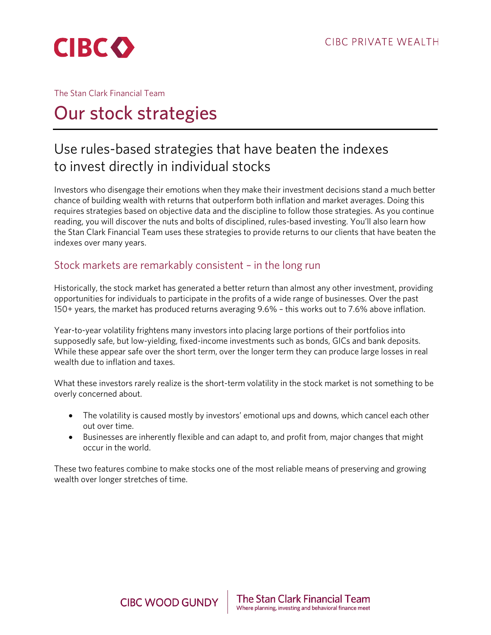

### The Stan Clark Financial Team

# Our stock strategies

## Use rules-based strategies that have beaten the indexes to invest directly in individual stocks

Investors who disengage their emotions when they make their investment decisions stand a much better chance of building wealth with returns that outperform both inflation and market averages. Doing this requires strategies based on objective data and the discipline to follow those strategies. As you continue reading, you will discover the nuts and bolts of disciplined, rules-based investing. You'll also learn how the Stan Clark Financial Team uses these strategies to provide returns to our clients that have beaten the indexes over many years.

### Stock markets are remarkably consistent – in the long run

Historically, the stock market has generated a better return than almost any other investment, providing opportunities for individuals to participate in the profits of a wide range of businesses. Over the past 150+ years, the market has produced returns averaging 9.6% – this works out to 7.6% above inflation.

Year-to-year volatility frightens many investors into placing large portions of their portfolios into supposedly safe, but low-yielding, fixed-income investments such as bonds, GICs and bank deposits. While these appear safe over the short term, over the longer term they can produce large losses in real wealth due to inflation and taxes.

What these investors rarely realize is the short-term volatility in the stock market is not something to be overly concerned about.

- The volatility is caused mostly by investors' emotional ups and downs, which cancel each other out over time.
- Businesses are inherently flexible and can adapt to, and profit from, major changes that might occur in the world.

These two features combine to make stocks one of the most reliable means of preserving and growing wealth over longer stretches of time.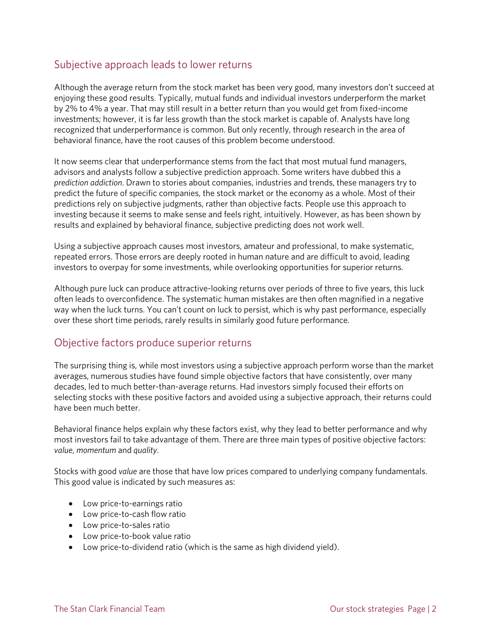### Subjective approach leads to lower returns

Although the average return from the stock market has been very good, many investors don't succeed at enjoying these good results. Typically, mutual funds and individual investors underperform the market by 2% to 4% a year. That may still result in a better return than you would get from fixed-income investments; however, it is far less growth than the stock market is capable of. Analysts have long recognized that underperformance is common. But only recently, through research in the area of behavioral finance, have the root causes of this problem become understood.

It now seems clear that underperformance stems from the fact that most mutual fund managers, advisors and analysts follow a subjective prediction approach. Some writers have dubbed this a *prediction addiction*. Drawn to stories about companies, industries and trends, these managers try to predict the future of specific companies, the stock market or the economy as a whole. Most of their predictions rely on subjective judgments, rather than objective facts. People use this approach to investing because it seems to make sense and feels right, intuitively. However, as has been shown by results and explained by behavioral finance, subjective predicting does not work well.

Using a subjective approach causes most investors, amateur and professional, to make systematic, repeated errors. Those errors are deeply rooted in human nature and are difficult to avoid, leading investors to overpay for some investments, while overlooking opportunities for superior returns.

Although pure luck can produce attractive-looking returns over periods of three to five years, this luck often leads to overconfidence. The systematic human mistakes are then often magnified in a negative way when the luck turns. You can't count on luck to persist, which is why past performance, especially over these short time periods, rarely results in similarly good future performance.

### Objective factors produce superior returns

The surprising thing is, while most investors using a subjective approach perform worse than the market averages, numerous studies have found simple objective factors that have consistently, over many decades, led to much better-than-average returns. Had investors simply focused their efforts on selecting stocks with these positive factors and avoided using a subjective approach, their returns could have been much better.

Behavioral finance helps explain why these factors exist, why they lead to better performance and why most investors fail to take advantage of them. There are three main types of positive objective factors: *value*, *momentum* and *quality*.

Stocks with good *value* are those that have low prices compared to underlying company fundamentals. This good value is indicated by such measures as:

- Low price-to-earnings ratio
- Low price-to-cash flow ratio
- Low price-to-sales ratio
- Low price-to-book value ratio
- Low price-to-dividend ratio (which is the same as high dividend yield).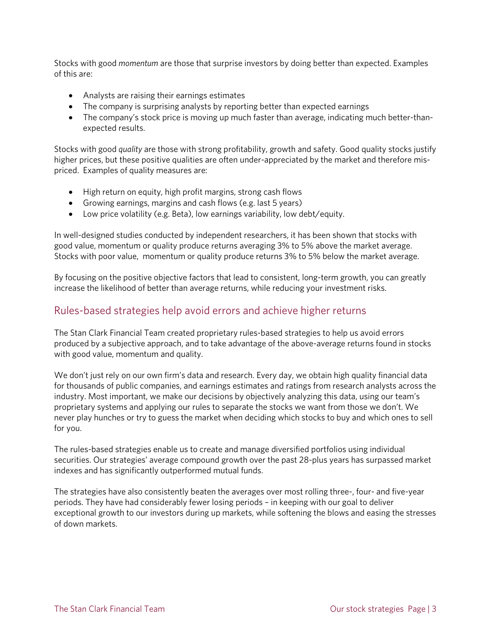Stocks with good *momentum* are those that surprise investors by doing better than expected. Examples of this are:

- Analysts are raising their earnings estimates
- The company is surprising analysts by reporting better than expected earnings
- The company's stock price is moving up much faster than average, indicating much better-thanexpected results.

Stocks with good *quality* are those with strong profitability, growth and safety. Good quality stocks justify higher prices, but these positive qualities are often under-appreciated by the market and therefore mispriced. Examples of quality measures are:

- High return on equity, high profit margins, strong cash flows
- Growing earnings, margins and cash flows (e.g. last 5 years)
- Low price volatility (e.g. Beta), low earnings variability, low debt/equity.

In well-designed studies conducted by independent researchers, it has been shown that stocks with good value, momentum or quality produce returns averaging 3% to 5% above the market average. Stocks with poor value, momentum or quality produce returns 3% to 5% below the market average.

By focusing on the positive objective factors that lead to consistent, long-term growth, you can greatly increase the likelihood of better than average returns, while reducing your investment risks.

### Rules-based strategies help avoid errors and achieve higher returns

The Stan Clark Financial Team created proprietary rules-based strategies to help us avoid errors produced by a subjective approach, and to take advantage of the above-average returns found in stocks with good value, momentum and quality.

We don't just rely on our own firm's data and research. Every day, we obtain high quality financial data for thousands of public companies, and earnings estimates and ratings from research analysts across the industry. Most important, we make our decisions by objectively analyzing this data, using our team's proprietary systems and applying our rules to separate the stocks we want from those we don't. We never play hunches or try to guess the market when deciding which stocks to buy and which ones to sell for you.

The rules-based strategies enable us to create and manage diversified portfolios using individual securities. Our strategies' average compound growth over the past 28-plus years has surpassed market indexes and has significantly outperformed mutual funds.

The strategies have also consistently beaten the averages over most rolling three-, four- and five-year periods. They have had considerably fewer losing periods – in keeping with our goal to deliver exceptional growth to our investors during up markets, while softening the blows and easing the stresses of down markets.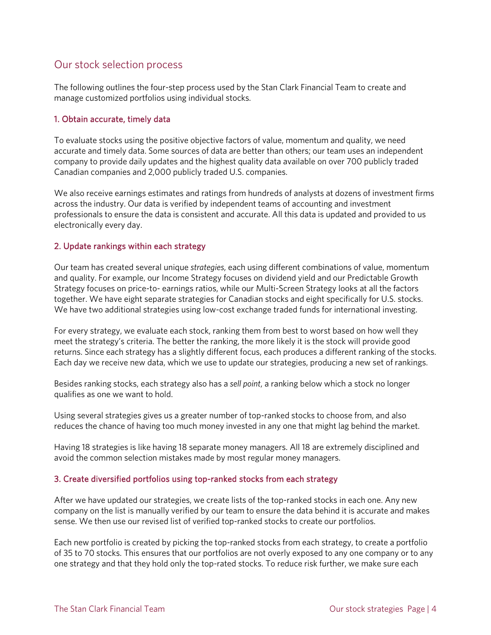### Our stock selection process

The following outlines the four-step process used by the Stan Clark Financial Team to create and manage customized portfolios using individual stocks.

### 1. Obtain accurate, timely data

To evaluate stocks using the positive objective factors of value, momentum and quality, we need accurate and timely data. Some sources of data are better than others; our team uses an independent company to provide daily updates and the highest quality data available on over 700 publicly traded Canadian companies and 2,000 publicly traded U.S. companies.

We also receive earnings estimates and ratings from hundreds of analysts at dozens of investment firms across the industry. Our data is verified by independent teams of accounting and investment professionals to ensure the data is consistent and accurate. All this data is updated and provided to us electronically every day.

#### 2. Update rankings within each strategy

Our team has created several unique *strategies*, each using different combinations of value, momentum and quality. For example, our Income Strategy focuses on dividend yield and our Predictable Growth Strategy focuses on price-to- earnings ratios, while our Multi-Screen Strategy looks at all the factors together. We have eight separate strategies for Canadian stocks and eight specifically for U.S. stocks. We have two additional strategies using low-cost exchange traded funds for international investing.

For every strategy, we evaluate each stock, ranking them from best to worst based on how well they meet the strategy's criteria. The better the ranking, the more likely it is the stock will provide good returns. Since each strategy has a slightly different focus, each produces a different ranking of the stocks. Each day we receive new data, which we use to update our strategies, producing a new set of rankings.

Besides ranking stocks, each strategy also has a *sell point*, a ranking below which a stock no longer qualifies as one we want to hold.

Using several strategies gives us a greater number of top-ranked stocks to choose from, and also reduces the chance of having too much money invested in any one that might lag behind the market.

Having 18 strategies is like having 18 separate money managers. All 18 are extremely disciplined and avoid the common selection mistakes made by most regular money managers.

#### 3. Create diversified portfolios using top-ranked stocks from each strategy

After we have updated our strategies, we create lists of the top-ranked stocks in each one. Any new company on the list is manually verified by our team to ensure the data behind it is accurate and makes sense. We then use our revised list of verified top-ranked stocks to create our portfolios.

Each new portfolio is created by picking the top-ranked stocks from each strategy, to create a portfolio of 35 to 70 stocks. This ensures that our portfolios are not overly exposed to any one company or to any one strategy and that they hold only the top-rated stocks. To reduce risk further, we make sure each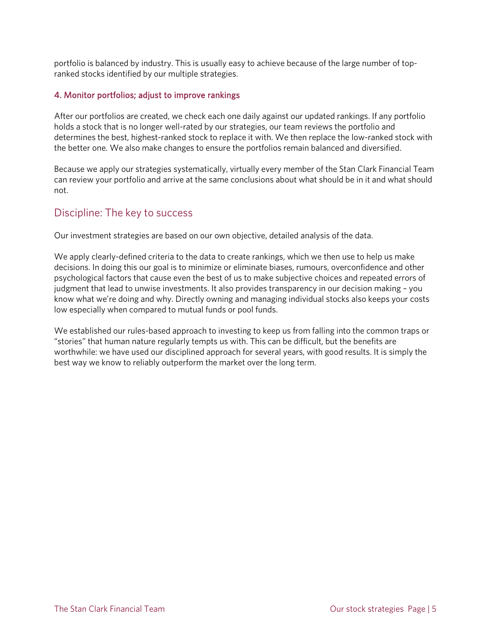portfolio is balanced by industry. This is usually easy to achieve because of the large number of topranked stocks identified by our multiple strategies.

#### 4. Monitor portfolios; adjust to improve rankings

After our portfolios are created, we check each one daily against our updated rankings. If any portfolio holds a stock that is no longer well-rated by our strategies, our team reviews the portfolio and determines the best, highest-ranked stock to replace it with. We then replace the low-ranked stock with the better one. We also make changes to ensure the portfolios remain balanced and diversified.

Because we apply our strategies systematically, virtually every member of the Stan Clark Financial Team can review your portfolio and arrive at the same conclusions about what should be in it and what should not.

### Discipline: The key to success

Our investment strategies are based on our own objective, detailed analysis of the data.

We apply clearly-defined criteria to the data to create rankings, which we then use to help us make decisions. In doing this our goal is to minimize or eliminate biases, rumours, overconfidence and other psychological factors that cause even the best of us to make subjective choices and repeated errors of judgment that lead to unwise investments. It also provides transparency in our decision making – you know what we're doing and why. Directly owning and managing individual stocks also keeps your costs low especially when compared to mutual funds or pool funds.

We established our rules-based approach to investing to keep us from falling into the common traps or "stories" that human nature regularly tempts us with. This can be difficult, but the benefits are worthwhile: we have used our disciplined approach for several years, with good results. It is simply the best way we know to reliably outperform the market over the long term.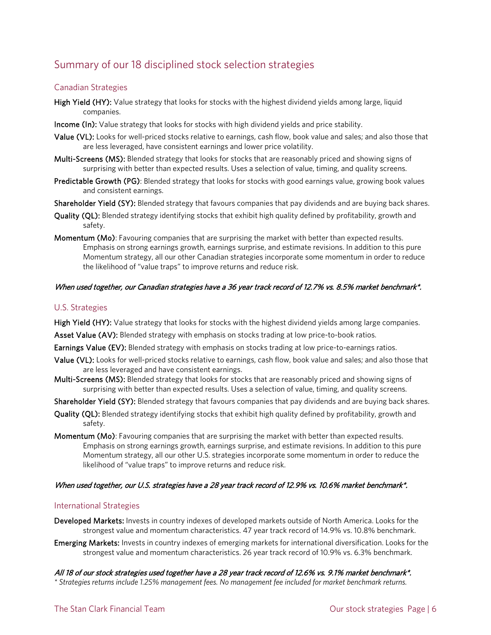### Summary of our 18 disciplined stock selection strategies

#### Canadian Strategies

- High Yield (HY): Value strategy that looks for stocks with the highest dividend yields among large, liquid companies.
- Income (In): Value strategy that looks for stocks with high dividend yields and price stability.
- Value (VL): Looks for well-priced stocks relative to earnings, cash flow, book value and sales; and also those that are less leveraged, have consistent earnings and lower price volatility.
- Multi-Screens (MS): Blended strategy that looks for stocks that are reasonably priced and showing signs of surprising with better than expected results. Uses a selection of value, timing, and quality screens.
- Predictable Growth (PG): Blended strategy that looks for stocks with good earnings value, growing book values and consistent earnings.
- Shareholder Yield (SY): Blended strategy that favours companies that pay dividends and are buying back shares.
- Quality (QL): Blended strategy identifying stocks that exhibit high quality defined by profitability, growth and safety.
- Momentum (Mo): Favouring companies that are surprising the market with better than expected results. Emphasis on strong earnings growth, earnings surprise, and estimate revisions. In addition to this pure Momentum strategy, all our other Canadian strategies incorporate some momentum in order to reduce the likelihood of "value traps" to improve returns and reduce risk.

#### When used together, our Canadian strategies have a 36 year track record of 12.7% vs. 8.5% market benchmark\*.

#### U.S. Strategies

High Yield (HY): Value strategy that looks for stocks with the highest dividend yields among large companies.

Asset Value (AV): Blended strategy with emphasis on stocks trading at low price-to-book ratios.

Earnings Value (EV): Blended strategy with emphasis on stocks trading at low price-to-earnings ratios.

- Value (VL): Looks for well-priced stocks relative to earnings, cash flow, book value and sales; and also those that are less leveraged and have consistent earnings.
- Multi-Screens (MS): Blended strategy that looks for stocks that are reasonably priced and showing signs of surprising with better than expected results. Uses a selection of value, timing, and quality screens.

Shareholder Yield (SY): Blended strategy that favours companies that pay dividends and are buying back shares.

- Quality (QL): Blended strategy identifying stocks that exhibit high quality defined by profitability, growth and safety.
- Momentum (Mo): Favouring companies that are surprising the market with better than expected results. Emphasis on strong earnings growth, earnings surprise, and estimate revisions. In addition to this pure Momentum strategy, all our other U.S. strategies incorporate some momentum in order to reduce the likelihood of "value traps" to improve returns and reduce risk.

#### When used together, our U.S. strategies have a 28 year track record of 12.9% vs. 10.6% market benchmark\*.

#### International Strategies

- Developed Markets: Invests in country indexes of developed markets outside of North America. Looks for the strongest value and momentum characteristics. 47 year track record of 14.9% vs. 10.8% benchmark.
- Emerging Markets: Invests in country indexes of emerging markets for international diversification. Looks for the strongest value and momentum characteristics. 26 year track record of 10.9% vs. 6.3% benchmark.

All 18 of our stock strategies used together have a 28 year track record of 12.6% vs. 9.1% market benchmark\*. *\* Strategies returns include 1.25% management fees. No management fee included for market benchmark returns.*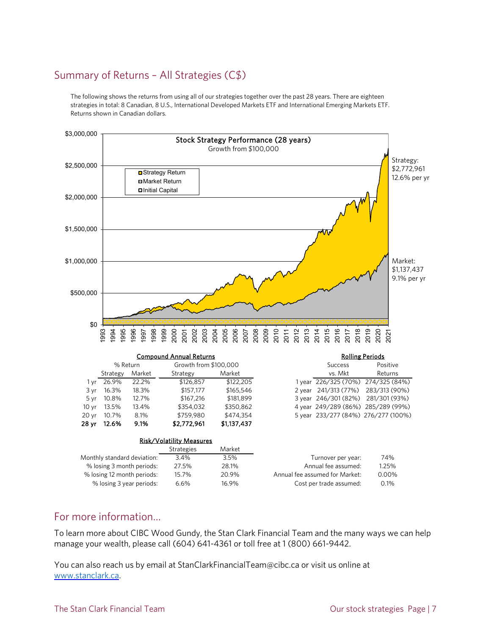### Summary of Returns – All Strategies (C\$)

The following shows the returns from using all of our strategies together over the past 28 years. There are eighteen strategies in total: 8 Canadian, 8 U.S., International Developed Markets ETF and International Emerging Markets ETF. Returns shown in Canadian dollars.



### For more information…

To learn more about CIBC Wood Gundy, the Stan Clark Financial Team and the many ways we can help manage your wealth, please call (604) 641-4361 or toll free at 1 (800) 661-9442.

You can also reach us by email at StanClarkFinancialTeam@cibc.ca or visit us online at [www.stanclark.ca.](http://www.stanclark.ca/)